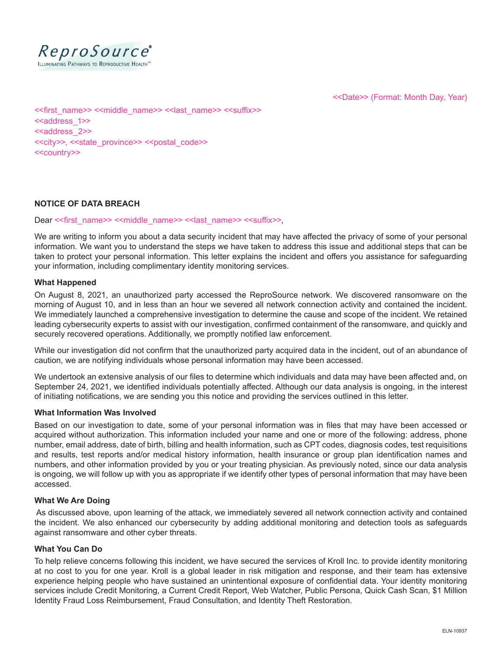

<<Date>> (Format: Month Day, Year)

<<first\_name>> <<middle\_name>> <<last\_name>> <<suffix>> <<address\_1>> <<address\_2>> <<city>>, <<state\_province>> <<postal\_code>> <<country>>

# **NOTICE OF DATA BREACH**

Dear << first\_name>> <<middle\_name>> << last\_name>> <<suffix>>,

We are writing to inform you about a data security incident that may have affected the privacy of some of your personal information. We want you to understand the steps we have taken to address this issue and additional steps that can be taken to protect your personal information. This letter explains the incident and offers you assistance for safeguarding your information, including complimentary identity monitoring services.

## **What Happened**

On August 8, 2021, an unauthorized party accessed the ReproSource network. We discovered ransomware on the morning of August 10, and in less than an hour we severed all network connection activity and contained the incident. We immediately launched a comprehensive investigation to determine the cause and scope of the incident. We retained leading cybersecurity experts to assist with our investigation, confirmed containment of the ransomware, and quickly and securely recovered operations. Additionally, we promptly notified law enforcement.

While our investigation did not confirm that the unauthorized party acquired data in the incident, out of an abundance of caution, we are notifying individuals whose personal information may have been accessed.

We undertook an extensive analysis of our files to determine which individuals and data may have been affected and, on September 24, 2021, we identified individuals potentially affected. Although our data analysis is ongoing, in the interest of initiating notifications, we are sending you this notice and providing the services outlined in this letter.

### **What Information Was Involved**

Based on our investigation to date, some of your personal information was in files that may have been accessed or acquired without authorization. This information included your name and one or more of the following: address, phone number, email address, date of birth, billing and health information, such as CPT codes, diagnosis codes, test requisitions and results, test reports and/or medical history information, health insurance or group plan identification names and numbers, and other information provided by you or your treating physician. As previously noted, since our data analysis is ongoing, we will follow up with you as appropriate if we identify other types of personal information that may have been accessed.

### **What We Are Doing**

 As discussed above, upon learning of the attack, we immediately severed all network connection activity and contained the incident. We also enhanced our cybersecurity by adding additional monitoring and detection tools as safeguards against ransomware and other cyber threats.

### **What You Can Do**

To help relieve concerns following this incident, we have secured the services of Kroll Inc. to provide identity monitoring at no cost to you for one year. Kroll is a global leader in risk mitigation and response, and their team has extensive experience helping people who have sustained an unintentional exposure of confidential data. Your identity monitoring services include Credit Monitoring, a Current Credit Report, Web Watcher, Public Persona, Quick Cash Scan, \$1 Million Identity Fraud Loss Reimbursement, Fraud Consultation, and Identity Theft Restoration.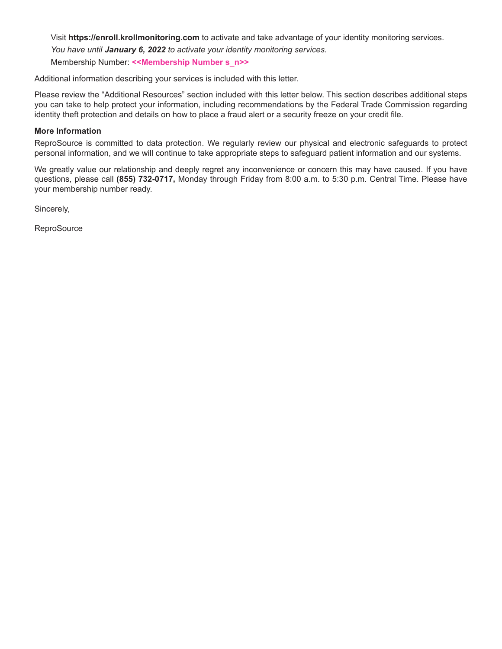Visit **https://enroll.krollmonitoring.com** to activate and take advantage of your identity monitoring services. *You have until January 6, 2022 to activate your identity monitoring services.* Membership Number: **<<Membership Number s\_n>>**

Additional information describing your services is included with this letter.

Please review the "Additional Resources" section included with this letter below. This section describes additional steps you can take to help protect your information, including recommendations by the Federal Trade Commission regarding identity theft protection and details on how to place a fraud alert or a security freeze on your credit file.

# **More Information**

ReproSource is committed to data protection. We regularly review our physical and electronic safeguards to protect personal information, and we will continue to take appropriate steps to safeguard patient information and our systems.

We greatly value our relationship and deeply regret any inconvenience or concern this may have caused. If you have questions, please call **(855) 732-0717,** Monday through Friday from 8:00 a.m. to 5:30 p.m. Central Time. Please have your membership number ready.

Sincerely,

**ReproSource**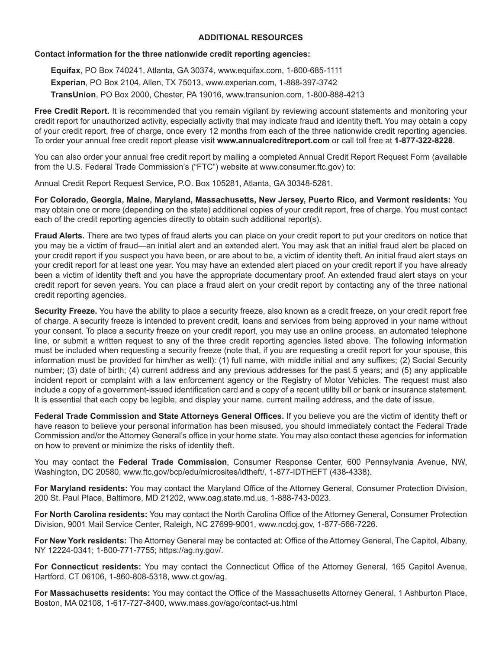# **ADDITIONAL RESOURCES**

# **Contact information for the three nationwide credit reporting agencies:**

**Equifax**, PO Box 740241, Atlanta, GA 30374, www.equifax.com, 1-800-685-1111 **Experian**, PO Box 2104, Allen, TX 75013, www.experian.com, 1-888-397-3742 **TransUnion**, PO Box 2000, Chester, PA 19016, www.transunion.com, 1-800-888-4213

**Free Credit Report.** It is recommended that you remain vigilant by reviewing account statements and monitoring your credit report for unauthorized activity, especially activity that may indicate fraud and identity theft. You may obtain a copy of your credit report, free of charge, once every 12 months from each of the three nationwide credit reporting agencies. To order your annual free credit report please visit **www.annualcreditreport.com** or call toll free at **1-877-322-8228**.

You can also order your annual free credit report by mailing a completed Annual Credit Report Request Form (available from the U.S. Federal Trade Commission's ("FTC") website at www.consumer.ftc.gov) to:

Annual Credit Report Request Service, P.O. Box 105281, Atlanta, GA 30348-5281.

**For Colorado, Georgia, Maine, Maryland, Massachusetts, New Jersey, Puerto Rico, and Vermont residents:** You may obtain one or more (depending on the state) additional copies of your credit report, free of charge. You must contact each of the credit reporting agencies directly to obtain such additional report(s).

**Fraud Alerts.** There are two types of fraud alerts you can place on your credit report to put your creditors on notice that you may be a victim of fraud—an initial alert and an extended alert. You may ask that an initial fraud alert be placed on your credit report if you suspect you have been, or are about to be, a victim of identity theft. An initial fraud alert stays on your credit report for at least one year. You may have an extended alert placed on your credit report if you have already been a victim of identity theft and you have the appropriate documentary proof. An extended fraud alert stays on your credit report for seven years. You can place a fraud alert on your credit report by contacting any of the three national credit reporting agencies.

**Security Freeze.** You have the ability to place a security freeze, also known as a credit freeze, on your credit report free of charge. A security freeze is intended to prevent credit, loans and services from being approved in your name without your consent. To place a security freeze on your credit report, you may use an online process, an automated telephone line, or submit a written request to any of the three credit reporting agencies listed above. The following information must be included when requesting a security freeze (note that, if you are requesting a credit report for your spouse, this information must be provided for him/her as well): (1) full name, with middle initial and any suffixes; (2) Social Security number; (3) date of birth; (4) current address and any previous addresses for the past 5 years; and (5) any applicable incident report or complaint with a law enforcement agency or the Registry of Motor Vehicles. The request must also include a copy of a government-issued identification card and a copy of a recent utility bill or bank or insurance statement. It is essential that each copy be legible, and display your name, current mailing address, and the date of issue.

**Federal Trade Commission and State Attorneys General Offices.** If you believe you are the victim of identity theft or have reason to believe your personal information has been misused, you should immediately contact the Federal Trade Commission and/or the Attorney General's office in your home state. You may also contact these agencies for information on how to prevent or minimize the risks of identity theft.

You may contact the **Federal Trade Commission**, Consumer Response Center, 600 Pennsylvania Avenue, NW, Washington, DC 20580, www.ftc.gov/bcp/edu/microsites/idtheft/, 1-877-IDTHEFT (438-4338).

**For Maryland residents:** You may contact the Maryland Office of the Attorney General, Consumer Protection Division, 200 St. Paul Place, Baltimore, MD 21202, www.oag.state.md.us, 1-888-743-0023.

**For North Carolina residents:** You may contact the North Carolina Office of the Attorney General, Consumer Protection Division, 9001 Mail Service Center, Raleigh, NC 27699-9001, www.ncdoj.gov, 1-877-566-7226.

**For New York residents:** The Attorney General may be contacted at: Office of the Attorney General, The Capitol, Albany, NY 12224-0341; 1-800-771-7755; https://ag.ny.gov/.

**For Connecticut residents:** You may contact the Connecticut Office of the Attorney General, 165 Capitol Avenue, Hartford, CT 06106, 1-860-808-5318, www.ct.gov/ag.

**For Massachusetts residents:** You may contact the Office of the Massachusetts Attorney General, 1 Ashburton Place, Boston, MA 02108, 1-617-727-8400, www.mass.gov/ago/contact-us.html